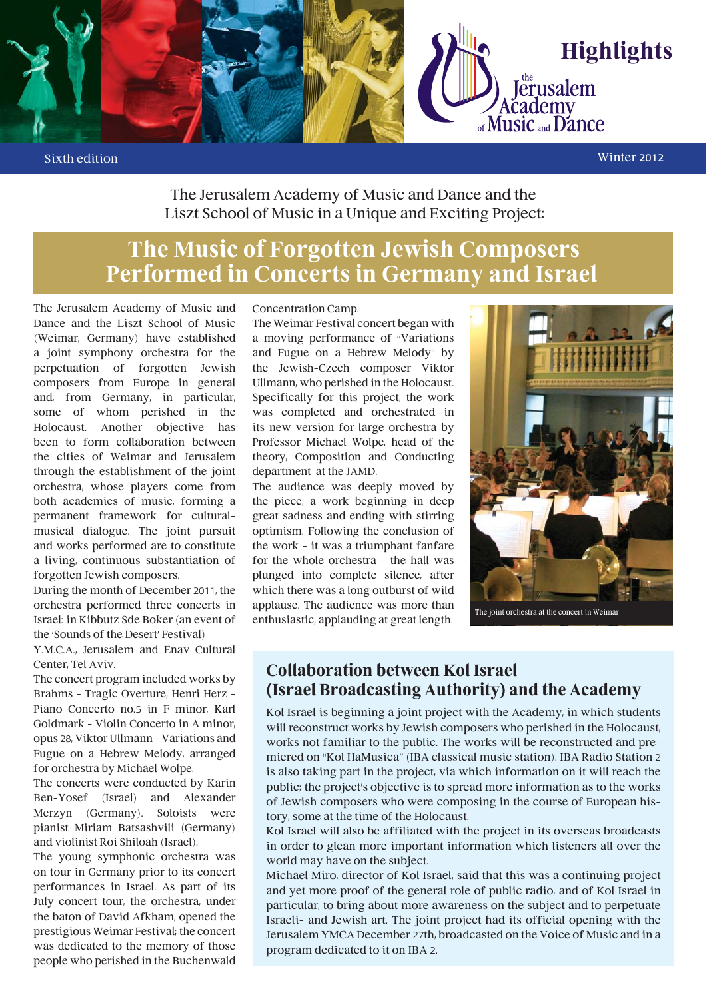

#### Sixth edition Winter 2012

The Jerusalem Academy of Music and Dance and the Liszt School of Music in a Unique and Exciting Project:

# **The Music of Forgotten Jewish Composers Performed in Concerts in Germany and Israel**

The Jerusalem Academy of Music and Dance and the Liszt School of Music (Weimar, Germany) have established a joint symphony orchestra for the perpetuation of forgotten Jewish composers from Europe in general and, from Germany, in particular, some of whom perished in the Holocaust. Another objective has been to form collaboration between the cities of Weimar and Jerusalem through the establishment of the joint orchestra, whose players come from both academies of music, forming a permanent framework for culturalmusical dialogue. The joint pursuit and works performed are to constitute a living, continuous substantiation of forgotten Jewish composers.

During the month of December 2011, the orchestra performed three concerts in Israel: in Kibbutz Sde Boker (an event of the 'Sounds of the Desert' Festival)

Y.M.C.A., Jerusalem and Enav Cultural Center, Tel Aviv.

The concert program included works by Brahms – Tragic Overture, Henri Herz – Piano Concerto no.5 in F minor, Karl Goldmark – Violin Concerto in A minor, opus 28, Viktor Ullmann – Variations and Fugue on a Hebrew Melody, arranged for orchestra by Michael Wolpe.

The concerts were conducted by Karin Ben-Yosef (Israel) and Alexander Merzyn (Germany). Soloists were pianist Miriam Batsashvili (Germany) and violinist Roi Shiloah (Israel).

The young symphonic orchestra was on tour in Germany prior to its concert performances in Israel. As part of its July concert tour, the orchestra, under the baton of David Afkham, opened the prestigious Weimar Festival; the concert was dedicated to the memory of those people who perished in the Buchenwald

#### Concentration Camp.

The Weimar Festival concert began with a moving performance of "Variations and Fugue on a Hebrew Melody" by the Jewish-Czech composer Viktor Ullmann, who perished in the Holocaust. Specifically for this project, the work was completed and orchestrated in its new version for large orchestra by Professor Michael Wolpe, head of the theory, Composition and Conducting department at the JAMD.

The audience was deeply moved by the piece, a work beginning in deep great sadness and ending with stirring optimism. Following the conclusion of the work – it was a triumphant fanfare for the whole orchestra – the hall was plunged into complete silence, after which there was a long outburst of wild applause. The audience was more than enthusiastic, applauding at great length.



The joint orchestra at the concert in Weimar

## **Collaboration between Kol Israel (Israel Broadcasting Authority) and the Academy**

Kol Israel is beginning a joint project with the Academy, in which students will reconstruct works by Jewish composers who perished in the Holocaust, works not familiar to the public. The works will be reconstructed and premiered on "Kol HaMusica" (IBA classical music station). IBA Radio Station 2 is also taking part in the project, via which information on it will reach the public; the project's objective is to spread more information as to the works of Jewish composers who were composing in the course of European history, some at the time of the Holocaust.

Kol Israel will also be affiliated with the project in its overseas broadcasts in order to glean more important information which listeners all over the world may have on the subject.

Michael Miro, director of Kol Israel, said that this was a continuing project and yet more proof of the general role of public radio, and of Kol Israel in particular, to bring about more awareness on the subject and to perpetuate Israeli- and Jewish art. The joint project had its official opening with the Jerusalem YMCA December 27th, broadcasted on the Voice of Music and in a program dedicated to it on IBA 2.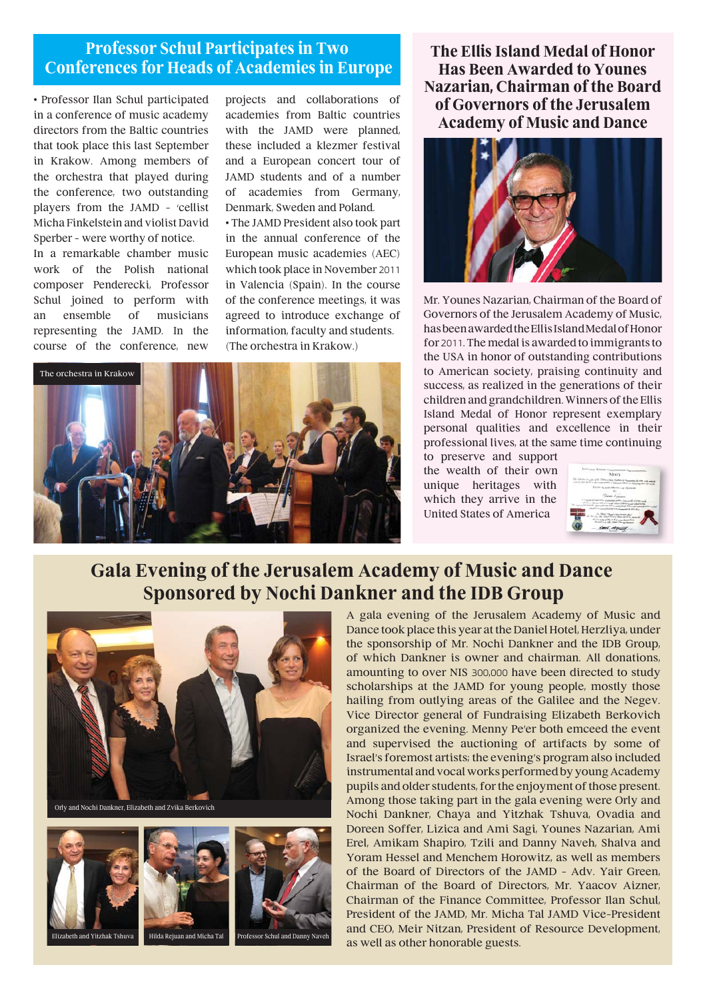## **Professor Schul Participates in Two Conferences for Heads of Academies in Europe**

• Professor Ilan Schul participated in a conference of music academy directors from the Baltic countries that took place this last September in Krakow. Among members of the orchestra that played during the conference, two outstanding players from the JAMD – 'cellist Micha Finkelstein and violist David Sperber – were worthy of notice.

In a remarkable chamber music work of the Polish national composer Penderecki, Professor Schul joined to perform with an ensemble of musicians representing the JAMD. In the course of the conference, new projects and collaborations of academies from Baltic countries with the JAMD were planned, these included a klezmer festival and a European concert tour of JAMD students and of a number of academies from Germany, Denmark, Sweden and Poland.

• The JAMD President also took part in the annual conference of the European music academies (AEC) which took place in November 2011 in Valencia (Spain). In the course of the conference meetings, it was agreed to introduce exchange of information, faculty and students. (The orchestra in Krakow.)



### **The Ellis Island Medal of Honor Has Been Awarded to Younes Nazarian, Chairman of the Board of Governors of the Jerusalem Academy of Music and Dance**



Mr. Younes Nazarian, Chairman of the Board of Governors of the Jerusalem Academy of Music, has been awarded the Ellis Island Medal of Honor for 2011. The medal is awarded to immigrants to the USA in honor of outstanding contributions to American society, praising continuity and success, as realized in the generations of their children and grandchildren. Winners of the Ellis Island Medal of Honor represent exemplary personal qualities and excellence in their professional lives, at the same time continuing

to preserve and support the wealth of their own unique heritages with which they arrive in the United States of America



## **Gala Evening of the Jerusalem Academy of Music and Dance Sponsored by Nochi Dankner and the IDB Group**







Elizabeth and Yitzhak Tshuva Hilda Rejuan and Micha Tal Professor Schul and Danny Naveh

A gala evening of the Jerusalem Academy of Music and Dance took place this year at the Daniel Hotel, Herzliya, under the sponsorship of Mr. Nochi Dankner and the IDB Group, of which Dankner is owner and chairman. All donations, amounting to over NIS 300,000 have been directed to study scholarships at the JAMD for young people, mostly those hailing from outlying areas of the Galilee and the Negev. Vice Director general of Fundraising Elizabeth Berkovich organized the evening. Menny Pe'er both emceed the event and supervised the auctioning of artifacts by some of Israel's foremost artists; the evening's program also included instrumental and vocal works performed by young Academy pupils and older students, for the enjoyment of those present. Among those taking part in the gala evening were Orly and Nochi Dankner, Chaya and Yitzhak Tshuva, Ovadia and Doreen Soffer, Lizica and Ami Sagi, Younes Nazarian, Ami Erel, Amikam Shapiro, Tzili and Danny Naveh, Shalva and Yoram Hessel and Menchem Horowitz, as well as members of the Board of Directors of the JAMD – Adv. Yair Green, Chairman of the Board of Directors, Mr. Yaacov Aizner, Chairman of the Finance Committee, Professor Ilan Schul, President of the JAMD, Mr. Micha Tal JAMD Vice-President and CEO, Meir Nitzan, President of Resource Development, as well as other honorable guests.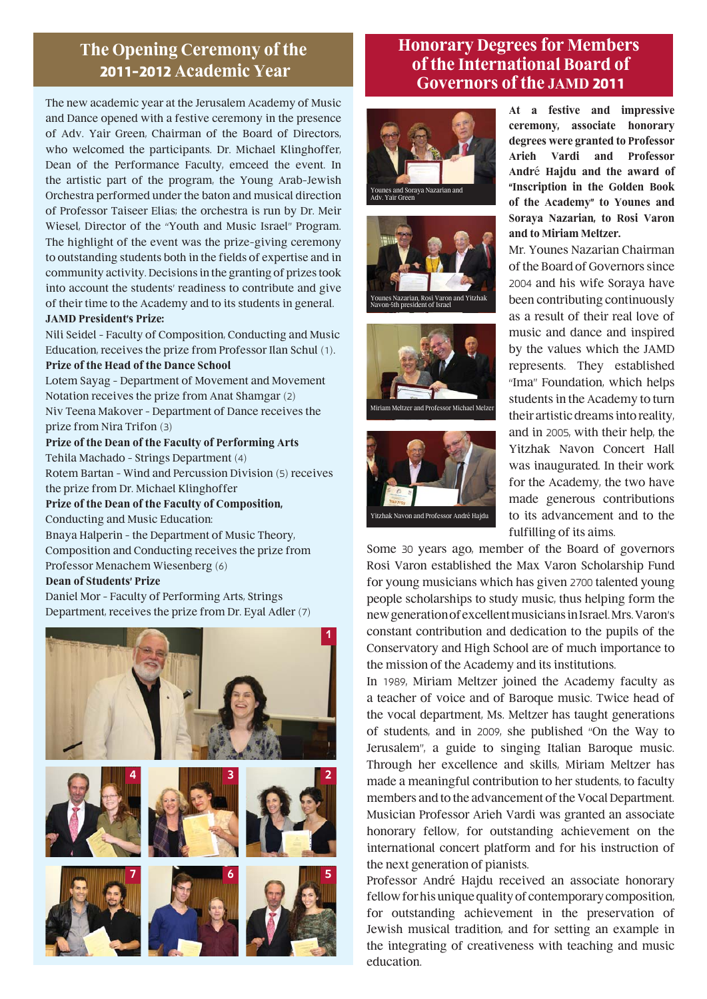## **The Opening Ceremony of the 2011-2012 Academic Year**

The new academic year at the Jerusalem Academy of Music and Dance opened with a festive ceremony in the presence of Adv. Yair Green, Chairman of the Board of Directors, who welcomed the participants. Dr. Michael Klinghoffer, Dean of the Performance Faculty, emceed the event. In the artistic part of the program, the Young Arab-Jewish Orchestra performed under the baton and musical direction of Professor Taiseer Elias; the orchestra is run by Dr. Meir Wiesel, Director of the "Youth and Music Israel" Program. The highlight of the event was the prize-giving ceremony to outstanding students both in the fields of expertise and in community activity. Decisions in the granting of prizes took into account the students' readiness to contribute and give of their time to the Academy and to its students in general. **JAMD President's Prize:**

Nili Seidel – Faculty of Composition, Conducting and Music Education, receives the prize from Professor Ilan Schul (1).

#### **Prize of the Head of the Dance School**

Lotem Sayag – Department of Movement and Movement Notation receives the prize from Anat Shamgar (2) Niv Teena Makover - Department of Dance receives the prize from Nira Trifon (3)

**Prize of the Dean of the Faculty of Performing Arts**  Tehila Machado – Strings Department (4)

Rotem Bartan – Wind and Percussion Division (5) receives the prize from Dr. Michael Klinghoffer

**Prize of the Dean of the Faculty of Composition,**  Conducting and Music Education:

Bnaya Halperin – the Department of Music Theory, Composition and Conducting receives the prize from Professor Menachem Wiesenberg (6)

#### **Dean of Students' Prize**

Daniel Mor – Faculty of Performing Arts, Strings Department, receives the prize from Dr. Eyal Adler (7)



## **Honorary Degrees for Members of the International Board of Governors of the JAMD 2011**







Miriam Meltzer and Professor Michael Melze



**At a festive and impressive ceremony, associate honorary degrees were granted to Professor Arieh Vardi and Professor André Hajdu and the award of "Inscription in the Golden Book of the Academy" to Younes and Soraya Nazarian, to Rosi Varon and to Miriam Meltzer.** 

Mr. Younes Nazarian Chairman of the Board of Governors since 2004 and his wife Soraya have been contributing continuously as a result of their real love of music and dance and inspired by the values which the JAMD represents. They established "Ima" Foundation, which helps students in the Academy to turn their artistic dreams into reality, and in 2005, with their help, the Yitzhak Navon Concert Hall was inaugurated. In their work for the Academy, the two have made generous contributions to its advancement and to the fulfilling of its aims.

Some 30 years ago, member of the Board of governors Rosi Varon established the Max Varon Scholarship Fund for young musicians which has given 2700 talented young people scholarships to study music, thus helping form the new generation of excellent musicians in Israel. Mrs. Varon's constant contribution and dedication to the pupils of the Conservatory and High School are of much importance to the mission of the Academy and its institutions.

In 1989, Miriam Meltzer joined the Academy faculty as a teacher of voice and of Baroque music. Twice head of the vocal department, Ms. Meltzer has taught generations of students, and in 2009, she published "On the Way to Jerusalem", a guide to singing Italian Baroque music. Through her excellence and skills, Miriam Meltzer has made a meaningful contribution to her students, to faculty members and to the advancement of the Vocal Department. Musician Professor Arieh Vardi was granted an associate honorary fellow, for outstanding achievement on the international concert platform and for his instruction of the next generation of pianists.

Professor André Hajdu received an associate honorary fellow for his unique quality of contemporary composition, for outstanding achievement in the preservation of Jewish musical tradition, and for setting an example in the integrating of creativeness with teaching and music education.